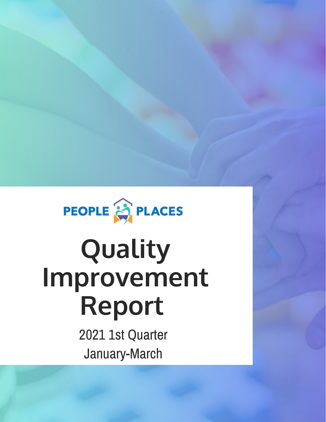

# **Quality Improvement Report**

2021 1st Quarter January-March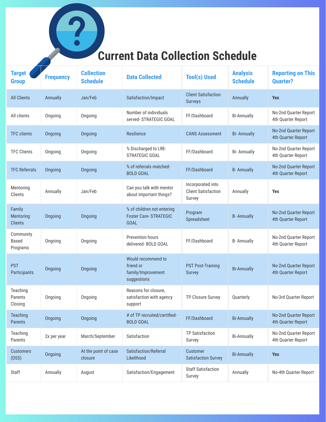### **Current Data Collection Schedule**

 $\overline{\phantom{a}}$ 

| <b>Target</b><br><b>Group</b>         | <b>Frequency</b> | <b>Collection</b><br><b>Schedule</b> | <b>Data Collected</b>                                                     | <b>Tool(s) Used</b>                                       | <b>Analysis</b><br><b>Schedule</b> | <b>Reporting on This</b><br><b>Quarter?</b> |
|---------------------------------------|------------------|--------------------------------------|---------------------------------------------------------------------------|-----------------------------------------------------------|------------------------------------|---------------------------------------------|
| <b>All Clients</b>                    | Annually         | Jan/Feb                              | Satisfaction/Impact                                                       | <b>Client Satisfaction</b><br><b>Surveys</b>              | Annually                           | <b>Yes</b>                                  |
| All clients                           | Ongoing          | Ongoing                              | Number of individuals<br>served- STRATEGIC GOAL                           | FF/Dashboard                                              | <b>Bi-Annually</b>                 | No-2nd Quarter Report<br>4th Quarter Report |
| <b>TFC clients</b>                    | Ongoing          | Ongoing                              | Resilience                                                                | <b>CANS Assessment</b>                                    | <b>Bi-Annually</b>                 | No-2nd Quarter Report<br>4th Quarter Report |
| <b>TFC Clients</b>                    | Ongoing          | Ongoing                              | % Discharged to LRE-<br>STRATEGIC GOAL                                    | FF/Dashboard                                              | <b>Bi-Annually</b>                 | No-2nd Quarter Report<br>4th Quarter Report |
| <b>TFC Referrals</b>                  | Ongoing          | Ongoing                              | % of referrals matched-<br><b>BOLD GOAL</b>                               | FF/Dashboard                                              | <b>B-Annually</b>                  | No-2nd Quarter Report<br>4th Quarter Report |
| Mentoring<br>Clients                  | Annually         | Jan/Feb                              | Can you talk with mentor<br>about important things?                       | Incorporated into<br><b>Client Satisfaction</b><br>Survey | Annually                           | <b>Yes</b>                                  |
| Family<br>Mentoring<br><b>Clients</b> | Ongoing          | Ongoing                              | % of children not entering<br><b>Foster Care-STRATEGIC</b><br><b>GOAL</b> | Program<br>Spreadsheet                                    | <b>B-Annually</b>                  | No-2nd Quarter Report<br>4th Quarter Report |
| Community<br><b>Based</b><br>Programs | Ongoing          | Ongoing                              | <b>Prevention hours</b><br>delivered-BOLD GOAL                            | FF/Dashboard                                              | <b>B-Annually</b>                  | No-2nd Quarter Report<br>4th Quarter Report |
| <b>PST</b><br>Participants            | Ongoing          | Ongoing                              | Would recommend to<br>friend or<br>family/Improvement<br>suggestions      | <b>PST Post-Training</b><br><b>Survey</b>                 | <b>Bi-Annually</b>                 | No-2nd Quarter Report<br>4th Quarter Report |
| Teaching<br>Parents<br>Closing        | Ongoing          | Ongoing                              | Reasons for closure,<br>satisfaction with agency<br>support               | TP Closure Survey                                         | Quarterly                          | No-3rd Quarter Report                       |
| <b>Teaching</b><br><b>Parents</b>     | Ongoing          | Ongoing                              | # of TP recruited/certified-<br><b>BOLD GOAL</b>                          | FF/Dashboard                                              | <b>Bi-Annually</b>                 | No-2nd Quarter Report<br>4th Quarter Report |
| Teaching<br>Parents                   | 2x per year      | March/September                      | Satisfaction                                                              | <b>TP Satisfaction</b><br>Survey                          | <b>Bi-Annually</b>                 | No-2nd Quarter Report<br>4th Quarter Report |
| <b>Customers</b><br>(DSS)             | Ongoing          | At the point of case<br>closure      | Satisfaction/Referral<br>Likelihood                                       | <b>Customer</b><br><b>Satisfaction Survey</b>             | <b>Bi-Annually</b>                 | <b>Yes</b>                                  |
| Staff                                 | Annually         | August                               | Satisfaction/Engagement                                                   | <b>Staff Satisfaction</b><br>Survey                       | Annually                           | No-4th Quarter Report                       |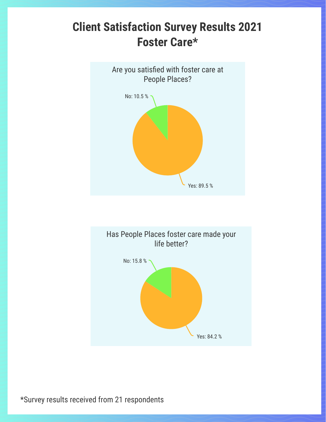## **Client Satisfaction Survey Results 2021 Foster Care\***





\*Survey results received from 21 respondents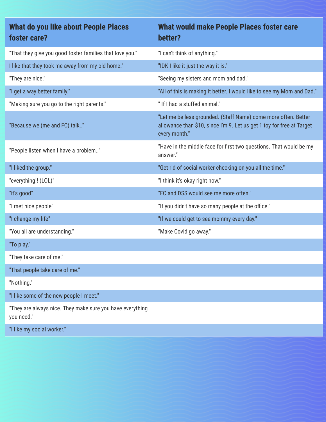| What do you like about People Places<br>foster care?                    | What would make People Places foster care<br>better?                                                                                                     |
|-------------------------------------------------------------------------|----------------------------------------------------------------------------------------------------------------------------------------------------------|
| "That they give you good foster families that love you."                | "I can't think of anything."                                                                                                                             |
| I like that they took me away from my old home."                        | "IDK I like it just the way it is."                                                                                                                      |
| "They are nice."                                                        | "Seeing my sisters and mom and dad."                                                                                                                     |
| "I get a way better family."                                            | "All of this is making it better. I would like to see my Mom and Dad."                                                                                   |
| "Making sure you go to the right parents."                              | "If I had a stuffed animal."                                                                                                                             |
| "Because we (me and FC) talk"                                           | "Let me be less grounded. (Staff Name) come more often. Better<br>allowance than \$10, since I'm 9. Let us get 1 toy for free at Target<br>every month." |
| "People listen when I have a problem"                                   | "Have in the middle face for first two questions. That would be my<br>answer."                                                                           |
| "I liked the group."                                                    | "Get rid of social worker checking on you all the time."                                                                                                 |
| "everything!! (LOL)"                                                    | "I think it's okay right now."                                                                                                                           |
| "it's good"                                                             | "FC and DSS would see me more often."                                                                                                                    |
| "I met nice people"                                                     | "If you didn't have so many people at the office."                                                                                                       |
| "I change my life"                                                      | "If we could get to see mommy every day."                                                                                                                |
| "You all are understanding."                                            | "Make Covid go away."                                                                                                                                    |
| "To play."                                                              |                                                                                                                                                          |
| "They take care of me."                                                 |                                                                                                                                                          |
| "That people take care of me."                                          |                                                                                                                                                          |
| "Nothing."                                                              |                                                                                                                                                          |
| "I like some of the new people I meet."                                 |                                                                                                                                                          |
| "They are always nice. They make sure you have everything<br>you need." |                                                                                                                                                          |
| "I like my social worker."                                              |                                                                                                                                                          |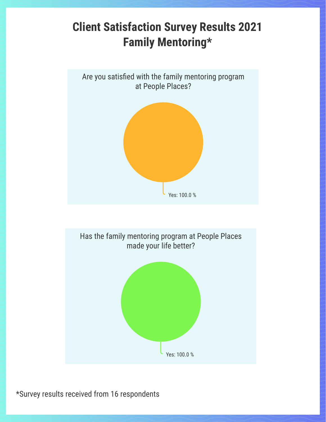## **Client Satisfaction Survey Results 2021 Family Mentoring\***





\*Survey results received from 16 respondents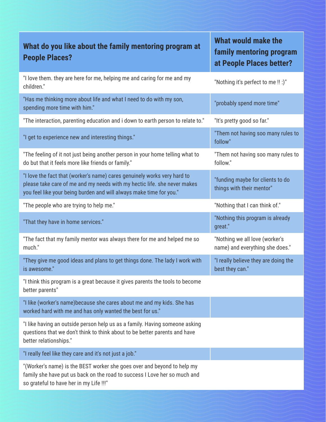| What do you like about the family mentoring program at<br><b>People Places?</b>                                                                                                                                             | What would make the<br>family mentoring program<br>at People Places better? |
|-----------------------------------------------------------------------------------------------------------------------------------------------------------------------------------------------------------------------------|-----------------------------------------------------------------------------|
| "I love them. they are here for me, helping me and caring for me and my<br>children."                                                                                                                                       | "Nothing it's perfect to me!!:)"                                            |
| "Has me thinking more about life and what I need to do with my son,<br>spending more time with him."                                                                                                                        | "probably spend more time"                                                  |
| "The interaction, parenting education and i down to earth person to relate to."                                                                                                                                             | "It's pretty good so far."                                                  |
| "I get to experience new and interesting things."                                                                                                                                                                           | "Them not having soo many rules to<br>follow"                               |
| "The feeling of it not just being another person in your home telling what to<br>do but that it feels more like friends or family."                                                                                         | "Them not having soo many rules to<br>follow."                              |
| "I love the fact that (worker's name) cares genuinely works very hard to<br>please take care of me and my needs with my hectic life. she never makes<br>you feel like your being burden and will always make time for you." | "funding maybe for clients to do<br>things with their mentor"               |
| "The people who are trying to help me."                                                                                                                                                                                     | "Nothing that I can think of."                                              |
| "That they have in home services."                                                                                                                                                                                          | "Nothing this program is already<br>great."                                 |
| "The fact that my family mentor was always there for me and helped me so<br>much."                                                                                                                                          | "Nothing we all love (worker's<br>name) and everything she does."           |
| "They give me good ideas and plans to get things done. The lady I work with<br>is awesome."                                                                                                                                 | "I really believe they are doing the<br>best they can."                     |
| "I think this program is a great because it gives parents the tools to become<br>better parents"                                                                                                                            |                                                                             |
| "I like (worker's name) because she cares about me and my kids. She has<br>worked hard with me and has only wanted the best for us."                                                                                        |                                                                             |
| "I like having an outside person help us as a family. Having someone asking<br>questions that we don't think to think about to be better parents and have<br>better relationships."                                         |                                                                             |
| "I really feel like they care and it's not just a job."                                                                                                                                                                     |                                                                             |
| "(Worker's name) is the BEST worker she goes over and beyond to help my<br>family she have put us back on the road to success I Love her so much and<br>so grateful to have her in my Life !!!"                             |                                                                             |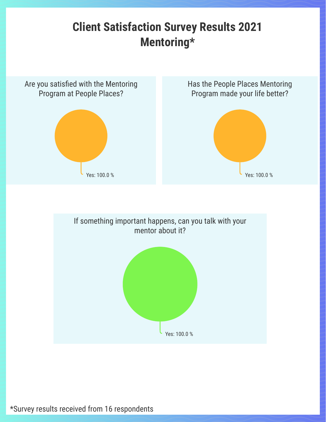## **Client Satisfaction Survey Results 2021 Mentoring\***



\*Survey results received from 16 respondents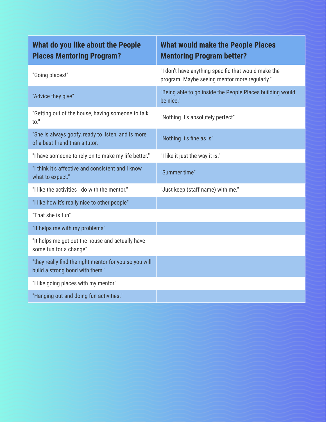| What do you like about the People<br><b>Places Mentoring Program?</b>                     | <b>What would make the People Places</b><br><b>Mentoring Program better?</b>                         |
|-------------------------------------------------------------------------------------------|------------------------------------------------------------------------------------------------------|
| "Going places!"                                                                           | "I don't have anything specific that would make the<br>program. Maybe seeing mentor more regularly." |
| "Advice they give"                                                                        | "Being able to go inside the People Places building would<br>be nice."                               |
| "Getting out of the house, having someone to talk<br>to."                                 | "Nothing it's absolutely perfect"                                                                    |
| "She is always goofy, ready to listen, and is more<br>of a best friend than a tutor."     | "Nothing it's fine as is"                                                                            |
| "I have someone to rely on to make my life better."                                       | "I like it just the way it is."                                                                      |
| "I think it's affective and consistent and I know<br>what to expect."                     | "Summer time"                                                                                        |
| "I like the activities I do with the mentor."                                             | "Just keep (staff name) with me."                                                                    |
| "I like how it's really nice to other people"                                             |                                                                                                      |
| "That she is fun"                                                                         |                                                                                                      |
| "It helps me with my problems"                                                            |                                                                                                      |
| "It helps me get out the house and actually have<br>some fun for a change"                |                                                                                                      |
| "they really find the right mentor for you so you will<br>build a strong bond with them." |                                                                                                      |
| "I like going places with my mentor"                                                      |                                                                                                      |
| "Hanging out and doing fun activities."                                                   |                                                                                                      |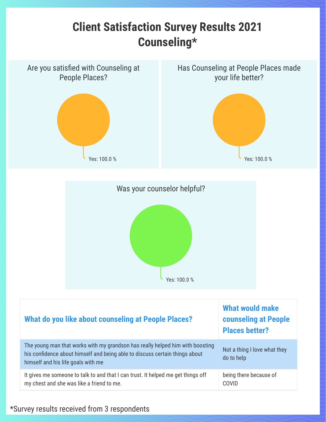





| What do you like about counseling at People Places?                                                                                                                                                | <b>What would make</b><br><b>counseling at People</b><br><b>Places better?</b> |
|----------------------------------------------------------------------------------------------------------------------------------------------------------------------------------------------------|--------------------------------------------------------------------------------|
| The young man that works with my grandson has really helped him with boosting<br>his confidence about himself and being able to discuss certain things about<br>himself and his life goals with me | Not a thing I love what they<br>do to help                                     |
| It gives me someone to talk to and that I can trust. It helped me get things off<br>my chest and she was like a friend to me.                                                                      | being there because of<br><b>COVID</b>                                         |

#### \*Survey results received from 3 respondents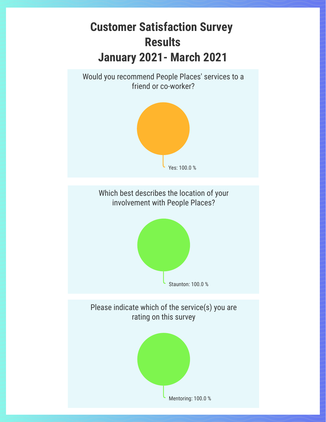